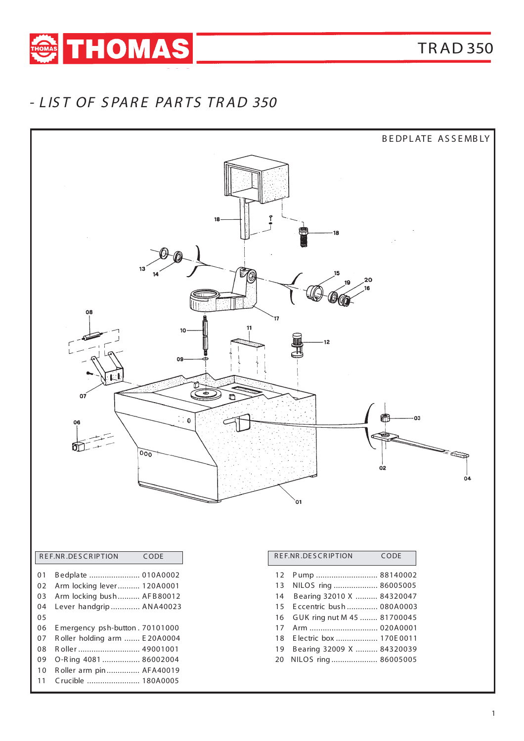

## - L IS T OF S PAR E PAR TS TR AD 350

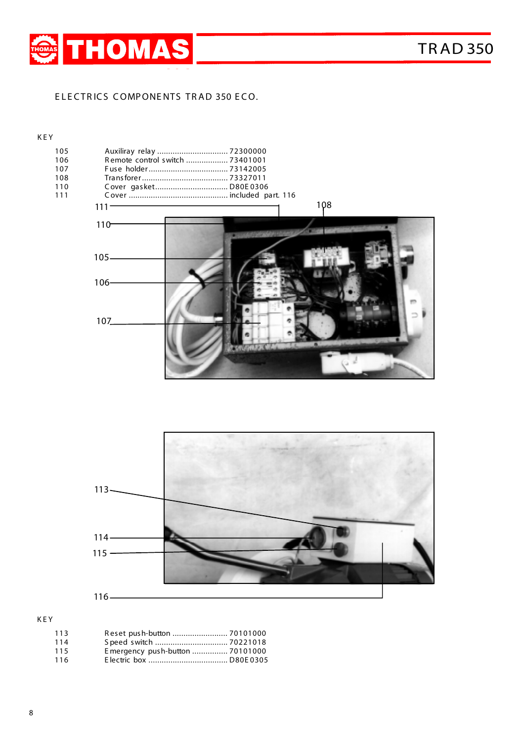

#### ELECTRICS COMPONENTS TRAD 350 ECO.

#### K E Y

| 105<br>106 | Auxiliray relay  72300000<br>Remote control switch  73401001 |
|------------|--------------------------------------------------------------|
| 107        |                                                              |
| 108        |                                                              |
|            |                                                              |
| 110        | Cover gasket D80E0306                                        |
| 111        |                                                              |
|            | 108<br>$111 -$                                               |
|            | $110 -$                                                      |
|            |                                                              |
|            | $105 -$                                                      |
|            |                                                              |
|            | $106 -$                                                      |
|            | m                                                            |
|            |                                                              |
|            | 107                                                          |
|            |                                                              |
|            |                                                              |
|            |                                                              |
|            |                                                              |



K E Y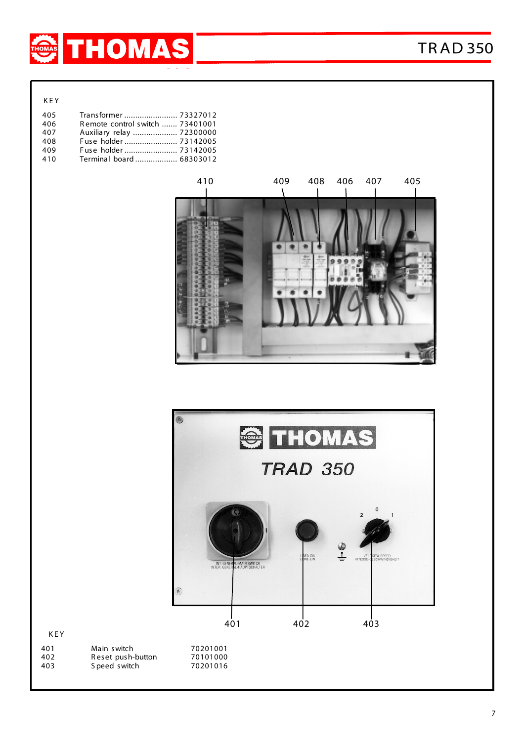

K E Y

| 405 | Transformer  73327012           |
|-----|---------------------------------|
| 406 | Remote control switch  73401001 |
| 407 | Auxiliary relay  72300000       |
| 408 | Fuse holder  73142005           |
| 409 | Fuse holder 73142005            |
| 410 | Terminal board 68303012         |
|     |                                 |





K E Y

| 401 | Main switch       |
|-----|-------------------|
| 402 | Reset push-button |
| 403 | S peed switch     |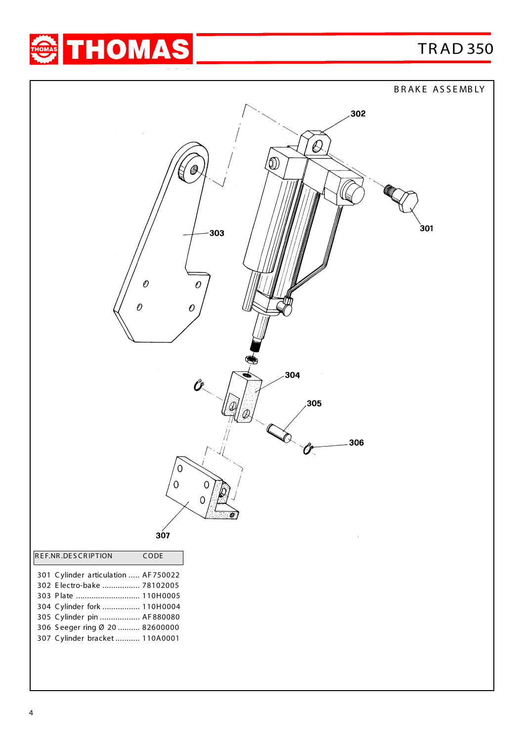BRAKE ASSEMBLY



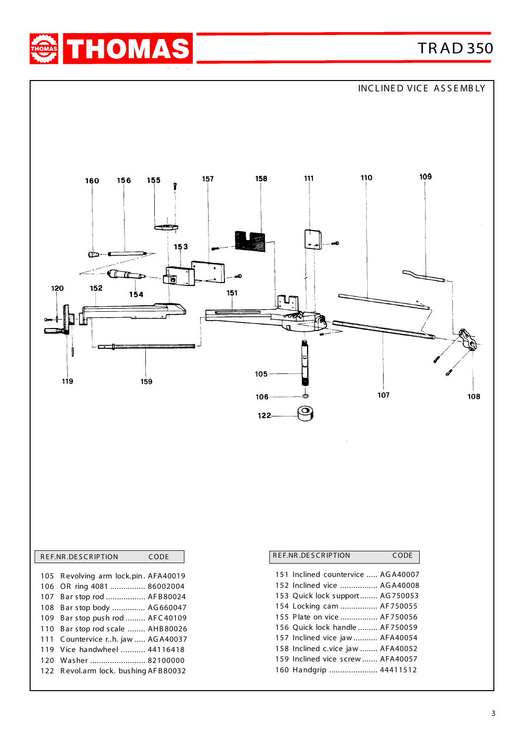

INCLINED VICE ASSEMBLY



|  | REF.NR.DESCRIPTION<br>CODE           |  |
|--|--------------------------------------|--|
|  |                                      |  |
|  | 105 Revolving arm lock.pin. AFA40019 |  |
|  | 106 OR ring 4081  86002004           |  |
|  | 107 Bar stop rod  AFB80024           |  |
|  | 108 Bar stop body  AG660047          |  |
|  | 109 Bar stop push rod  AFC40109      |  |
|  | 110 Bar stop rod scale  AHB80026     |  |
|  | 111 Countervice rh. jaw  AGA40037    |  |
|  | 119 Vice handwheel  44116418         |  |
|  | 120 Washer  82100000                 |  |
|  | 122 Revol.arm lock. bushing AFB80032 |  |
|  |                                      |  |

| REF.NR.DESCRIPTION<br>CODE         |  |  |
|------------------------------------|--|--|
| 151 Inclined countervice  AGA40007 |  |  |
| 152 Inclined vice  AGA40008        |  |  |
| 153 Quick lock support AG750053    |  |  |
| 154 Locking cam  AF750055          |  |  |
| 155 Plate on vice  AF750056        |  |  |
| 156 Ouick lock handle  AF750059    |  |  |
| 157 Inclined vice jaw  AFA40054    |  |  |
| 158 Inclined c.vice jaw  AFA40052  |  |  |
| 159 Inclined vice screw AFA40057   |  |  |
| 160 Handgrip  44411512             |  |  |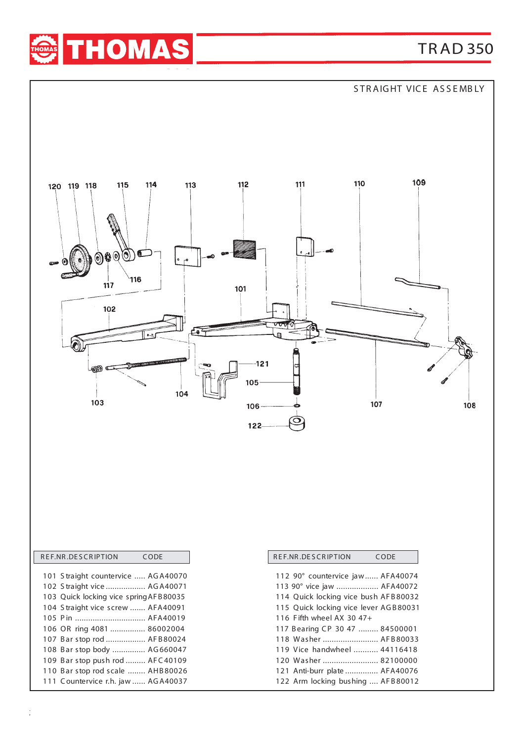

STRAIGHT VICE ASSEMBLY



 Anti-burr plate ............... AFA40076 Arm locking bushing .... AF B 80012

110 Bar stop rod scale ........ AHB 80026 C ountervice r.h. jaw ...... AG A40037